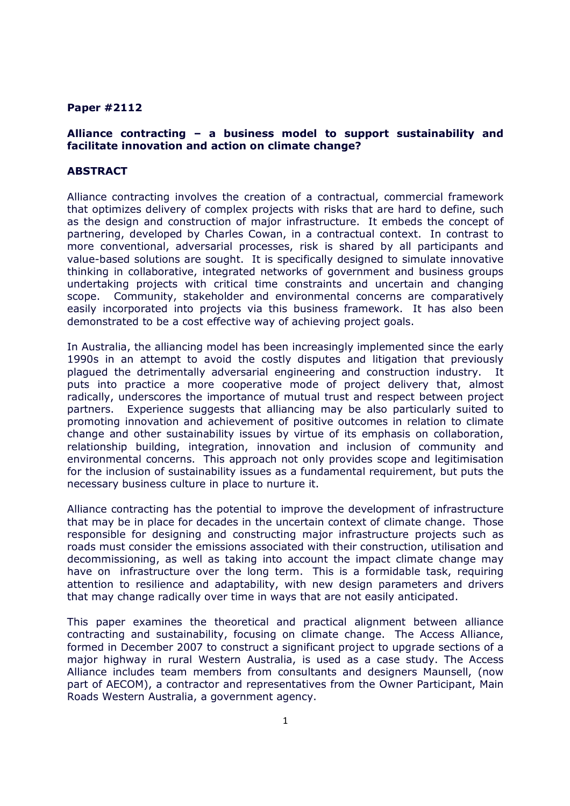#### Paper #2112

### Alliance contracting – a business model to support sustainability and facilitate innovation and action on climate change?

#### ABSTRACT

Alliance contracting involves the creation of a contractual, commercial framework that optimizes delivery of complex projects with risks that are hard to define, such as the design and construction of major infrastructure. It embeds the concept of partnering, developed by Charles Cowan, in a contractual context. In contrast to more conventional, adversarial processes, risk is shared by all participants and value-based solutions are sought. It is specifically designed to simulate innovative thinking in collaborative, integrated networks of government and business groups undertaking projects with critical time constraints and uncertain and changing scope. Community, stakeholder and environmental concerns are comparatively easily incorporated into projects via this business framework. It has also been demonstrated to be a cost effective way of achieving project goals.

In Australia, the alliancing model has been increasingly implemented since the early 1990s in an attempt to avoid the costly disputes and litigation that previously plagued the detrimentally adversarial engineering and construction industry. It puts into practice a more cooperative mode of project delivery that, almost radically, underscores the importance of mutual trust and respect between project partners. Experience suggests that alliancing may be also particularly suited to promoting innovation and achievement of positive outcomes in relation to climate change and other sustainability issues by virtue of its emphasis on collaboration, relationship building, integration, innovation and inclusion of community and environmental concerns. This approach not only provides scope and legitimisation for the inclusion of sustainability issues as a fundamental requirement, but puts the necessary business culture in place to nurture it.

Alliance contracting has the potential to improve the development of infrastructure that may be in place for decades in the uncertain context of climate change. Those responsible for designing and constructing major infrastructure projects such as roads must consider the emissions associated with their construction, utilisation and decommissioning, as well as taking into account the impact climate change may have on infrastructure over the long term. This is a formidable task, requiring attention to resilience and adaptability, with new design parameters and drivers that may change radically over time in ways that are not easily anticipated.

This paper examines the theoretical and practical alignment between alliance contracting and sustainability, focusing on climate change. The Access Alliance, formed in December 2007 to construct a significant project to upgrade sections of a major highway in rural Western Australia, is used as a case study. The Access Alliance includes team members from consultants and designers Maunsell, (now part of AECOM), a contractor and representatives from the Owner Participant, Main Roads Western Australia, a government agency.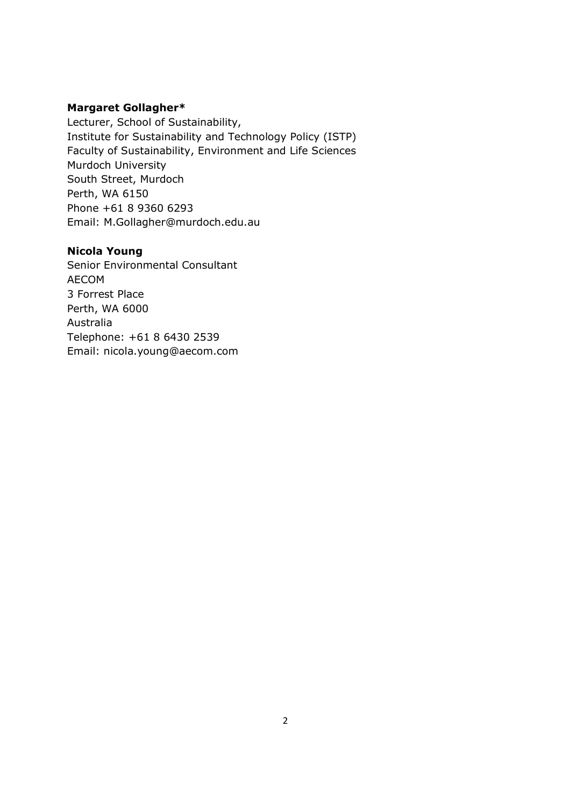## Margaret Gollagher\*

Lecturer, School of Sustainability, Institute for Sustainability and Technology Policy (ISTP) Faculty of Sustainability, Environment and Life Sciences Murdoch University South Street, Murdoch Perth, WA 6150 Phone +61 8 9360 6293 Email: M.Gollagher@murdoch.edu.au

# Nicola Young

Senior Environmental Consultant AECOM 3 Forrest Place Perth, WA 6000 Australia Telephone: +61 8 6430 2539 Email: nicola.young@aecom.com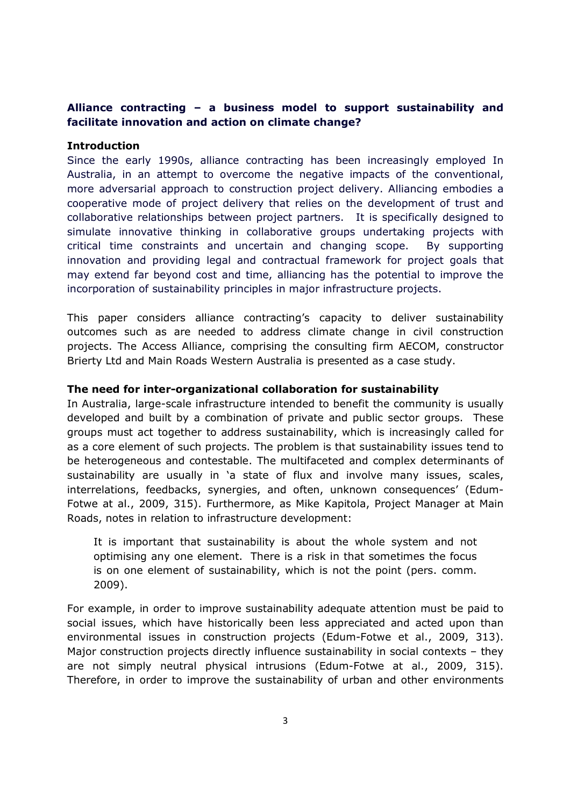# Alliance contracting – a business model to support sustainability and facilitate innovation and action on climate change?

### Introduction

Since the early 1990s, alliance contracting has been increasingly employed In Australia, in an attempt to overcome the negative impacts of the conventional, more adversarial approach to construction project delivery. Alliancing embodies a cooperative mode of project delivery that relies on the development of trust and collaborative relationships between project partners. It is specifically designed to simulate innovative thinking in collaborative groups undertaking projects with critical time constraints and uncertain and changing scope. By supporting innovation and providing legal and contractual framework for project goals that may extend far beyond cost and time, alliancing has the potential to improve the incorporation of sustainability principles in major infrastructure projects.

This paper considers alliance contracting's capacity to deliver sustainability outcomes such as are needed to address climate change in civil construction projects. The Access Alliance, comprising the consulting firm AECOM, constructor Brierty Ltd and Main Roads Western Australia is presented as a case study.

## The need for inter-organizational collaboration for sustainability

In Australia, large-scale infrastructure intended to benefit the community is usually developed and built by a combination of private and public sector groups. These groups must act together to address sustainability, which is increasingly called for as a core element of such projects. The problem is that sustainability issues tend to be heterogeneous and contestable. The multifaceted and complex determinants of sustainability are usually in 'a state of flux and involve many issues, scales, interrelations, feedbacks, synergies, and often, unknown consequences' (Edum-Fotwe at al., 2009, 315). Furthermore, as Mike Kapitola, Project Manager at Main Roads, notes in relation to infrastructure development:

It is important that sustainability is about the whole system and not optimising any one element. There is a risk in that sometimes the focus is on one element of sustainability, which is not the point (pers. comm. 2009).

For example, in order to improve sustainability adequate attention must be paid to social issues, which have historically been less appreciated and acted upon than environmental issues in construction projects (Edum-Fotwe et al., 2009, 313). Major construction projects directly influence sustainability in social contexts – they are not simply neutral physical intrusions (Edum-Fotwe at al., 2009, 315). Therefore, in order to improve the sustainability of urban and other environments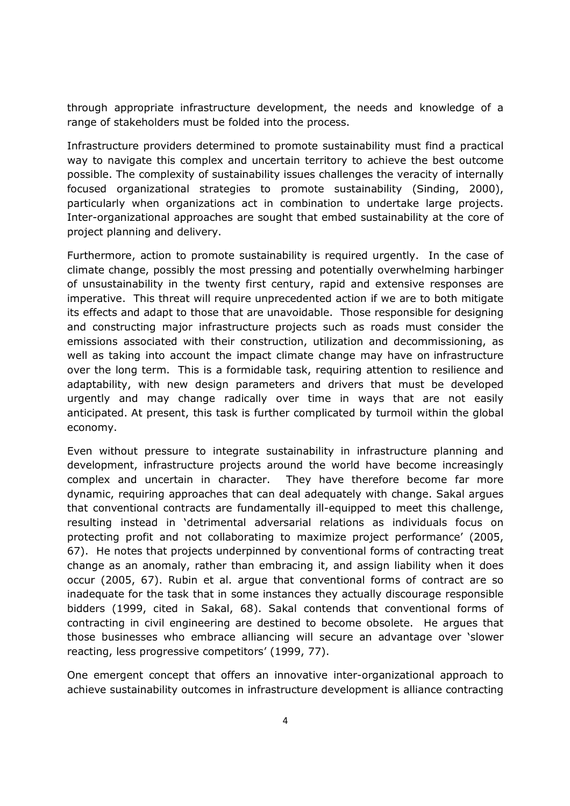through appropriate infrastructure development, the needs and knowledge of a range of stakeholders must be folded into the process.

Infrastructure providers determined to promote sustainability must find a practical way to navigate this complex and uncertain territory to achieve the best outcome possible. The complexity of sustainability issues challenges the veracity of internally focused organizational strategies to promote sustainability (Sinding, 2000), particularly when organizations act in combination to undertake large projects. Inter-organizational approaches are sought that embed sustainability at the core of project planning and delivery.

Furthermore, action to promote sustainability is required urgently. In the case of climate change, possibly the most pressing and potentially overwhelming harbinger of unsustainability in the twenty first century, rapid and extensive responses are imperative. This threat will require unprecedented action if we are to both mitigate its effects and adapt to those that are unavoidable. Those responsible for designing and constructing major infrastructure projects such as roads must consider the emissions associated with their construction, utilization and decommissioning, as well as taking into account the impact climate change may have on infrastructure over the long term. This is a formidable task, requiring attention to resilience and adaptability, with new design parameters and drivers that must be developed urgently and may change radically over time in ways that are not easily anticipated. At present, this task is further complicated by turmoil within the global economy.

Even without pressure to integrate sustainability in infrastructure planning and development, infrastructure projects around the world have become increasingly complex and uncertain in character. They have therefore become far more dynamic, requiring approaches that can deal adequately with change. Sakal argues that conventional contracts are fundamentally ill-equipped to meet this challenge, resulting instead in 'detrimental adversarial relations as individuals focus on protecting profit and not collaborating to maximize project performance' (2005, 67). He notes that projects underpinned by conventional forms of contracting treat change as an anomaly, rather than embracing it, and assign liability when it does occur (2005, 67). Rubin et al. argue that conventional forms of contract are so inadequate for the task that in some instances they actually discourage responsible bidders (1999, cited in Sakal, 68). Sakal contends that conventional forms of contracting in civil engineering are destined to become obsolete. He argues that those businesses who embrace alliancing will secure an advantage over 'slower reacting, less progressive competitors' (1999, 77).

One emergent concept that offers an innovative inter-organizational approach to achieve sustainability outcomes in infrastructure development is alliance contracting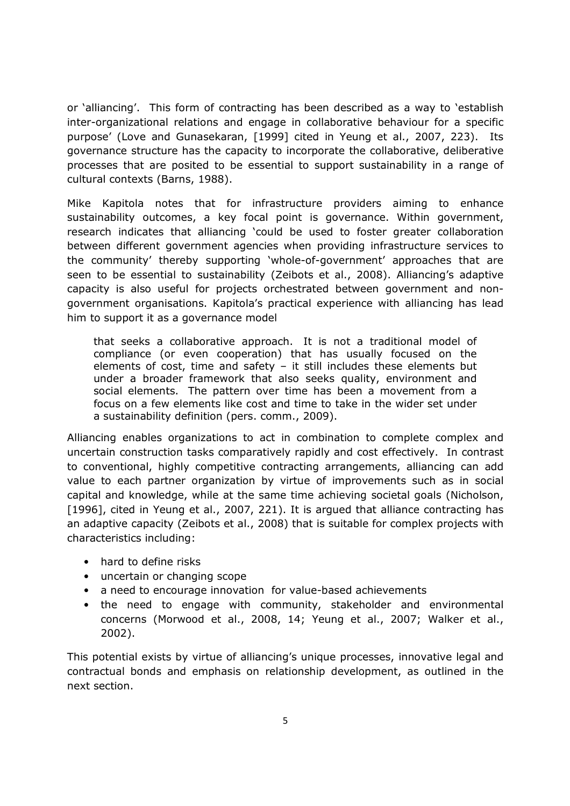or 'alliancing'. This form of contracting has been described as a way to 'establish inter-organizational relations and engage in collaborative behaviour for a specific purpose' (Love and Gunasekaran, [1999] cited in Yeung et al., 2007, 223). Its governance structure has the capacity to incorporate the collaborative, deliberative processes that are posited to be essential to support sustainability in a range of cultural contexts (Barns, 1988).

Mike Kapitola notes that for infrastructure providers aiming to enhance sustainability outcomes, a key focal point is governance. Within government, research indicates that alliancing 'could be used to foster greater collaboration between different government agencies when providing infrastructure services to the community' thereby supporting 'whole-of-government' approaches that are seen to be essential to sustainability (Zeibots et al., 2008). Alliancing's adaptive capacity is also useful for projects orchestrated between government and nongovernment organisations. Kapitola's practical experience with alliancing has lead him to support it as a governance model

that seeks a collaborative approach. It is not a traditional model of compliance (or even cooperation) that has usually focused on the elements of cost, time and safety – it still includes these elements but under a broader framework that also seeks quality, environment and social elements. The pattern over time has been a movement from a focus on a few elements like cost and time to take in the wider set under a sustainability definition (pers. comm., 2009).

Alliancing enables organizations to act in combination to complete complex and uncertain construction tasks comparatively rapidly and cost effectively. In contrast to conventional, highly competitive contracting arrangements, alliancing can add value to each partner organization by virtue of improvements such as in social capital and knowledge, while at the same time achieving societal goals (Nicholson, [1996], cited in Yeung et al., 2007, 221). It is argued that alliance contracting has an adaptive capacity (Zeibots et al., 2008) that is suitable for complex projects with characteristics including:

- hard to define risks
- uncertain or changing scope
- a need to encourage innovation for value-based achievements
- the need to engage with community, stakeholder and environmental concerns (Morwood et al., 2008, 14; Yeung et al., 2007; Walker et al., 2002).

This potential exists by virtue of alliancing's unique processes, innovative legal and contractual bonds and emphasis on relationship development, as outlined in the next section.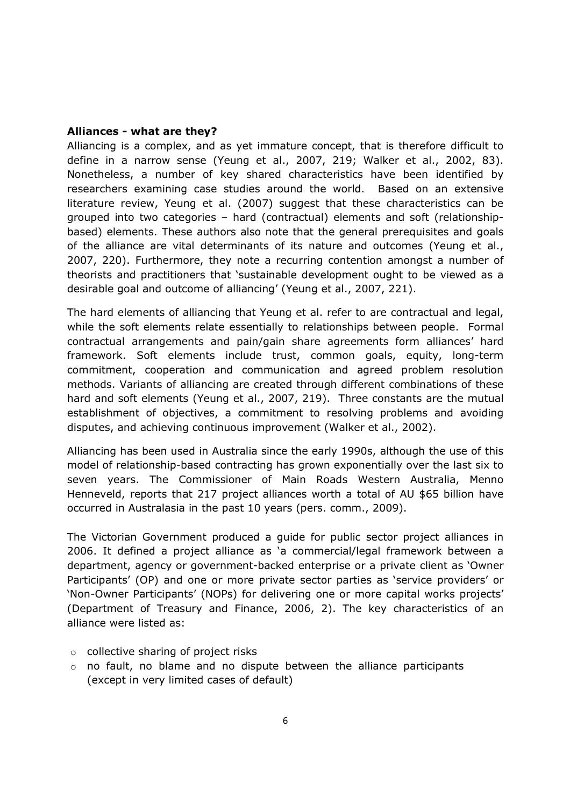### Alliances - what are they?

Alliancing is a complex, and as yet immature concept, that is therefore difficult to define in a narrow sense (Yeung et al., 2007, 219; Walker et al., 2002, 83). Nonetheless, a number of key shared characteristics have been identified by researchers examining case studies around the world. Based on an extensive literature review, Yeung et al. (2007) suggest that these characteristics can be grouped into two categories – hard (contractual) elements and soft (relationshipbased) elements. These authors also note that the general prerequisites and goals of the alliance are vital determinants of its nature and outcomes (Yeung et al., 2007, 220). Furthermore, they note a recurring contention amongst a number of theorists and practitioners that 'sustainable development ought to be viewed as a desirable goal and outcome of alliancing' (Yeung et al., 2007, 221).

The hard elements of alliancing that Yeung et al. refer to are contractual and legal, while the soft elements relate essentially to relationships between people. Formal contractual arrangements and pain/gain share agreements form alliances' hard framework. Soft elements include trust, common goals, equity, long-term commitment, cooperation and communication and agreed problem resolution methods. Variants of alliancing are created through different combinations of these hard and soft elements (Yeung et al., 2007, 219). Three constants are the mutual establishment of objectives, a commitment to resolving problems and avoiding disputes, and achieving continuous improvement (Walker et al., 2002).

Alliancing has been used in Australia since the early 1990s, although the use of this model of relationship-based contracting has grown exponentially over the last six to seven years. The Commissioner of Main Roads Western Australia, Menno Henneveld, reports that 217 project alliances worth a total of AU \$65 billion have occurred in Australasia in the past 10 years (pers. comm., 2009).

The Victorian Government produced a guide for public sector project alliances in 2006. It defined a project alliance as 'a commercial/legal framework between a department, agency or government-backed enterprise or a private client as 'Owner Participants' (OP) and one or more private sector parties as 'service providers' or 'Non-Owner Participants' (NOPs) for delivering one or more capital works projects' (Department of Treasury and Finance, 2006, 2). The key characteristics of an alliance were listed as:

- $\circ$  collective sharing of project risks
- $\circ$  no fault, no blame and no dispute between the alliance participants (except in very limited cases of default)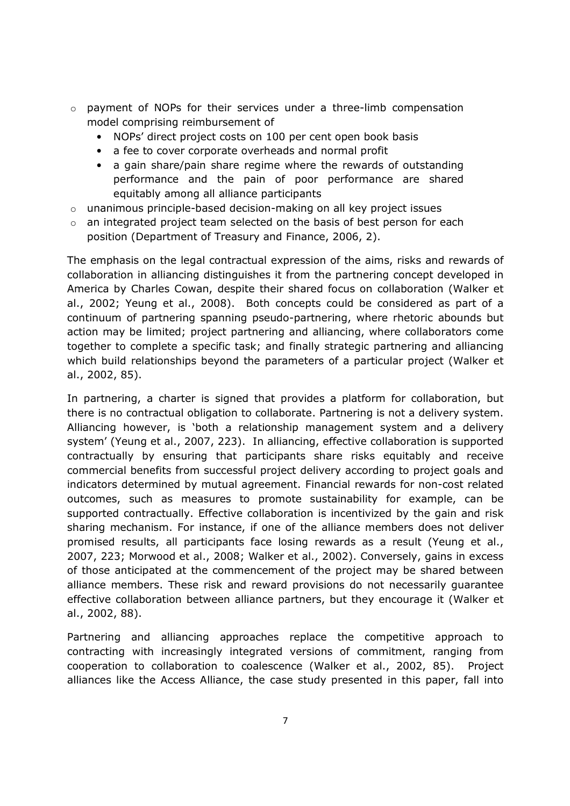- o payment of NOPs for their services under a three-limb compensation model comprising reimbursement of
	- NOPs' direct project costs on 100 per cent open book basis
	- a fee to cover corporate overheads and normal profit
	- a gain share/pain share regime where the rewards of outstanding performance and the pain of poor performance are shared equitably among all alliance participants
- $\circ$  unanimous principle-based decision-making on all key project issues
- $\circ$  an integrated project team selected on the basis of best person for each position (Department of Treasury and Finance, 2006, 2).

The emphasis on the legal contractual expression of the aims, risks and rewards of collaboration in alliancing distinguishes it from the partnering concept developed in America by Charles Cowan, despite their shared focus on collaboration (Walker et al., 2002; Yeung et al., 2008). Both concepts could be considered as part of a continuum of partnering spanning pseudo-partnering, where rhetoric abounds but action may be limited; project partnering and alliancing, where collaborators come together to complete a specific task; and finally strategic partnering and alliancing which build relationships beyond the parameters of a particular project (Walker et al., 2002, 85).

In partnering, a charter is signed that provides a platform for collaboration, but there is no contractual obligation to collaborate. Partnering is not a delivery system. Alliancing however, is 'both a relationship management system and a delivery system' (Yeung et al., 2007, 223). In alliancing, effective collaboration is supported contractually by ensuring that participants share risks equitably and receive commercial benefits from successful project delivery according to project goals and indicators determined by mutual agreement. Financial rewards for non-cost related outcomes, such as measures to promote sustainability for example, can be supported contractually. Effective collaboration is incentivized by the gain and risk sharing mechanism. For instance, if one of the alliance members does not deliver promised results, all participants face losing rewards as a result (Yeung et al., 2007, 223; Morwood et al., 2008; Walker et al., 2002). Conversely, gains in excess of those anticipated at the commencement of the project may be shared between alliance members. These risk and reward provisions do not necessarily guarantee effective collaboration between alliance partners, but they encourage it (Walker et al., 2002, 88).

Partnering and alliancing approaches replace the competitive approach to contracting with increasingly integrated versions of commitment, ranging from cooperation to collaboration to coalescence (Walker et al., 2002, 85). Project alliances like the Access Alliance, the case study presented in this paper, fall into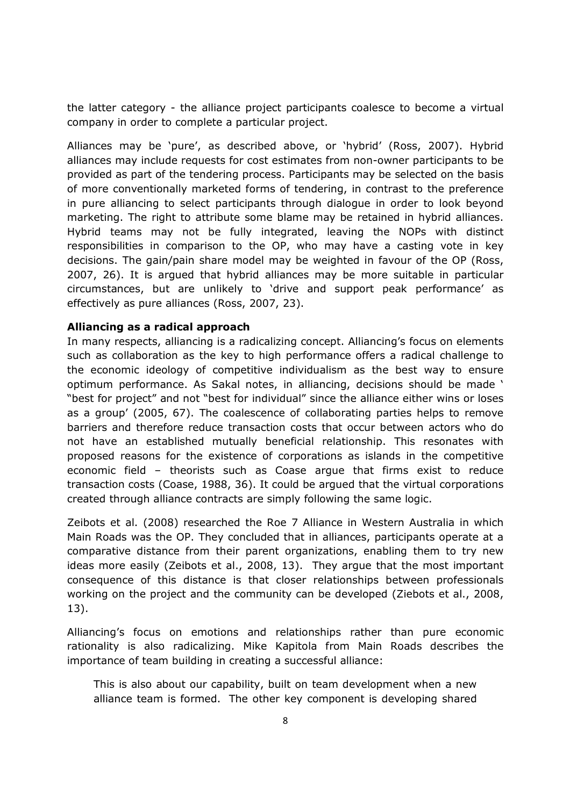the latter category - the alliance project participants coalesce to become a virtual company in order to complete a particular project.

Alliances may be 'pure', as described above, or 'hybrid' (Ross, 2007). Hybrid alliances may include requests for cost estimates from non-owner participants to be provided as part of the tendering process. Participants may be selected on the basis of more conventionally marketed forms of tendering, in contrast to the preference in pure alliancing to select participants through dialogue in order to look beyond marketing. The right to attribute some blame may be retained in hybrid alliances. Hybrid teams may not be fully integrated, leaving the NOPs with distinct responsibilities in comparison to the OP, who may have a casting vote in key decisions. The gain/pain share model may be weighted in favour of the OP (Ross, 2007, 26). It is argued that hybrid alliances may be more suitable in particular circumstances, but are unlikely to 'drive and support peak performance' as effectively as pure alliances (Ross, 2007, 23).

#### Alliancing as a radical approach

In many respects, alliancing is a radicalizing concept. Alliancing's focus on elements such as collaboration as the key to high performance offers a radical challenge to the economic ideology of competitive individualism as the best way to ensure optimum performance. As Sakal notes, in alliancing, decisions should be made ' "best for project" and not "best for individual" since the alliance either wins or loses as a group' (2005, 67). The coalescence of collaborating parties helps to remove barriers and therefore reduce transaction costs that occur between actors who do not have an established mutually beneficial relationship. This resonates with proposed reasons for the existence of corporations as islands in the competitive economic field – theorists such as Coase argue that firms exist to reduce transaction costs (Coase, 1988, 36). It could be argued that the virtual corporations created through alliance contracts are simply following the same logic.

Zeibots et al. (2008) researched the Roe 7 Alliance in Western Australia in which Main Roads was the OP. They concluded that in alliances, participants operate at a comparative distance from their parent organizations, enabling them to try new ideas more easily (Zeibots et al., 2008, 13). They argue that the most important consequence of this distance is that closer relationships between professionals working on the project and the community can be developed (Ziebots et al., 2008, 13).

Alliancing's focus on emotions and relationships rather than pure economic rationality is also radicalizing. Mike Kapitola from Main Roads describes the importance of team building in creating a successful alliance:

This is also about our capability, built on team development when a new alliance team is formed. The other key component is developing shared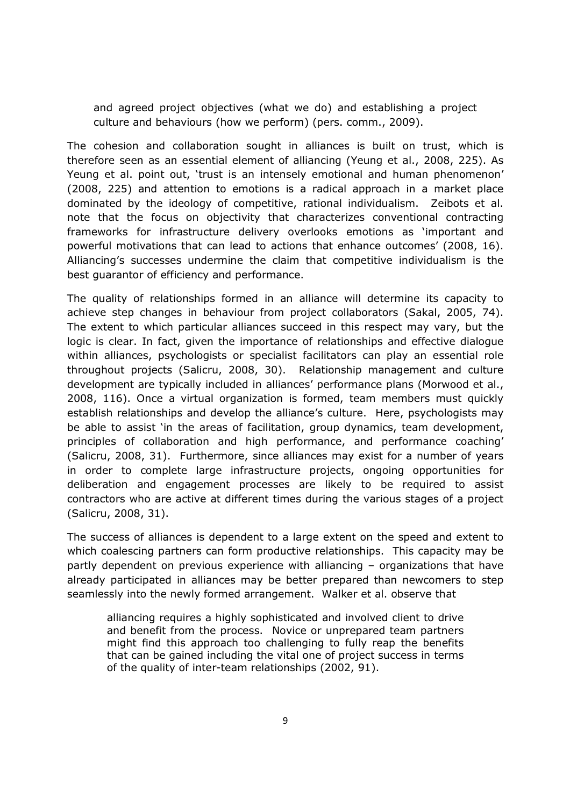and agreed project objectives (what we do) and establishing a project culture and behaviours (how we perform) (pers. comm., 2009).

The cohesion and collaboration sought in alliances is built on trust, which is therefore seen as an essential element of alliancing (Yeung et al., 2008, 225). As Yeung et al. point out, 'trust is an intensely emotional and human phenomenon' (2008, 225) and attention to emotions is a radical approach in a market place dominated by the ideology of competitive, rational individualism. Zeibots et al. note that the focus on objectivity that characterizes conventional contracting frameworks for infrastructure delivery overlooks emotions as 'important and powerful motivations that can lead to actions that enhance outcomes' (2008, 16). Alliancing's successes undermine the claim that competitive individualism is the best guarantor of efficiency and performance.

The quality of relationships formed in an alliance will determine its capacity to achieve step changes in behaviour from project collaborators (Sakal, 2005, 74). The extent to which particular alliances succeed in this respect may vary, but the logic is clear. In fact, given the importance of relationships and effective dialogue within alliances, psychologists or specialist facilitators can play an essential role throughout projects (Salicru, 2008, 30). Relationship management and culture development are typically included in alliances' performance plans (Morwood et al., 2008, 116). Once a virtual organization is formed, team members must quickly establish relationships and develop the alliance's culture. Here, psychologists may be able to assist 'in the areas of facilitation, group dynamics, team development, principles of collaboration and high performance, and performance coaching' (Salicru, 2008, 31). Furthermore, since alliances may exist for a number of years in order to complete large infrastructure projects, ongoing opportunities for deliberation and engagement processes are likely to be required to assist contractors who are active at different times during the various stages of a project (Salicru, 2008, 31).

The success of alliances is dependent to a large extent on the speed and extent to which coalescing partners can form productive relationships. This capacity may be partly dependent on previous experience with alliancing – organizations that have already participated in alliances may be better prepared than newcomers to step seamlessly into the newly formed arrangement. Walker et al. observe that

alliancing requires a highly sophisticated and involved client to drive and benefit from the process. Novice or unprepared team partners might find this approach too challenging to fully reap the benefits that can be gained including the vital one of project success in terms of the quality of inter-team relationships (2002, 91).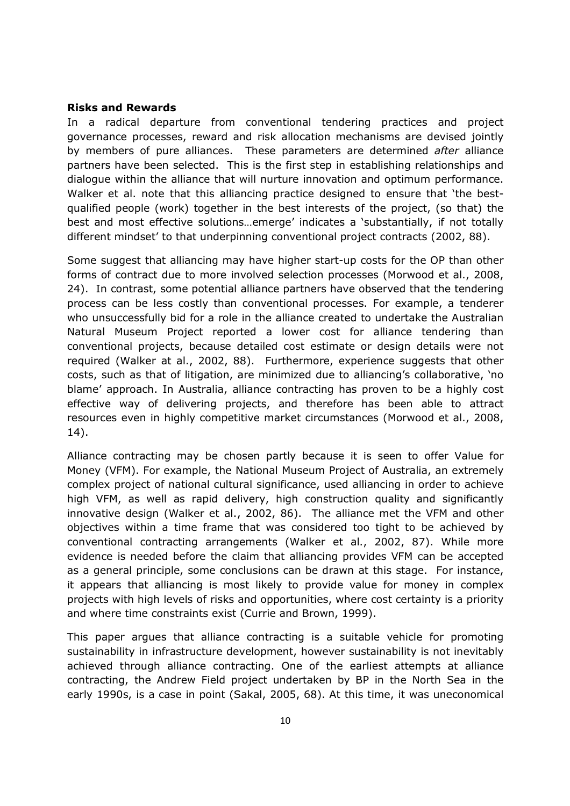### Risks and Rewards

In a radical departure from conventional tendering practices and project governance processes, reward and risk allocation mechanisms are devised jointly by members of pure alliances. These parameters are determined after alliance partners have been selected. This is the first step in establishing relationships and dialogue within the alliance that will nurture innovation and optimum performance. Walker et al. note that this alliancing practice designed to ensure that 'the bestqualified people (work) together in the best interests of the project, (so that) the best and most effective solutions…emerge' indicates a 'substantially, if not totally different mindset' to that underpinning conventional project contracts (2002, 88).

Some suggest that alliancing may have higher start-up costs for the OP than other forms of contract due to more involved selection processes (Morwood et al., 2008, 24). In contrast, some potential alliance partners have observed that the tendering process can be less costly than conventional processes. For example, a tenderer who unsuccessfully bid for a role in the alliance created to undertake the Australian Natural Museum Project reported a lower cost for alliance tendering than conventional projects, because detailed cost estimate or design details were not required (Walker at al., 2002, 88). Furthermore, experience suggests that other costs, such as that of litigation, are minimized due to alliancing's collaborative, 'no blame' approach. In Australia, alliance contracting has proven to be a highly cost effective way of delivering projects, and therefore has been able to attract resources even in highly competitive market circumstances (Morwood et al., 2008, 14).

Alliance contracting may be chosen partly because it is seen to offer Value for Money (VFM). For example, the National Museum Project of Australia, an extremely complex project of national cultural significance, used alliancing in order to achieve high VFM, as well as rapid delivery, high construction quality and significantly innovative design (Walker et al., 2002, 86). The alliance met the VFM and other objectives within a time frame that was considered too tight to be achieved by conventional contracting arrangements (Walker et al., 2002, 87). While more evidence is needed before the claim that alliancing provides VFM can be accepted as a general principle, some conclusions can be drawn at this stage. For instance, it appears that alliancing is most likely to provide value for money in complex projects with high levels of risks and opportunities, where cost certainty is a priority and where time constraints exist (Currie and Brown, 1999).

This paper argues that alliance contracting is a suitable vehicle for promoting sustainability in infrastructure development, however sustainability is not inevitably achieved through alliance contracting. One of the earliest attempts at alliance contracting, the Andrew Field project undertaken by BP in the North Sea in the early 1990s, is a case in point (Sakal, 2005, 68). At this time, it was uneconomical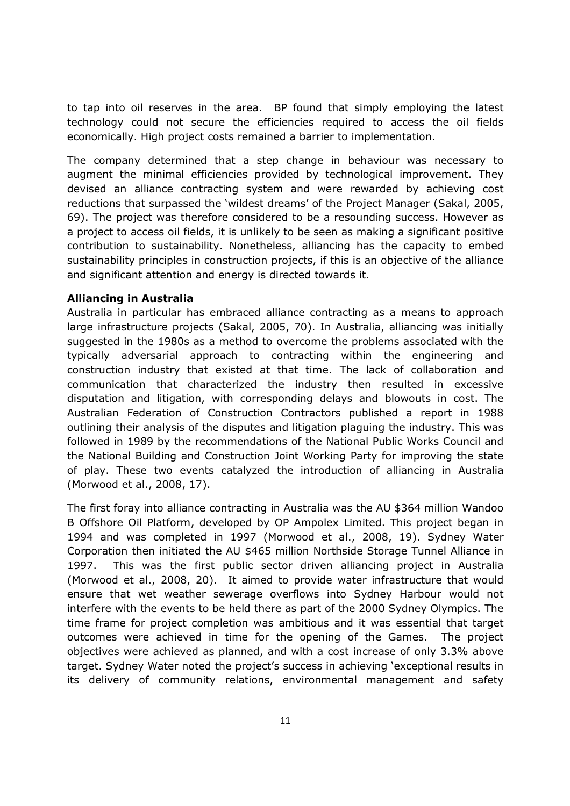to tap into oil reserves in the area. BP found that simply employing the latest technology could not secure the efficiencies required to access the oil fields economically. High project costs remained a barrier to implementation.

The company determined that a step change in behaviour was necessary to augment the minimal efficiencies provided by technological improvement. They devised an alliance contracting system and were rewarded by achieving cost reductions that surpassed the 'wildest dreams' of the Project Manager (Sakal, 2005, 69). The project was therefore considered to be a resounding success. However as a project to access oil fields, it is unlikely to be seen as making a significant positive contribution to sustainability. Nonetheless, alliancing has the capacity to embed sustainability principles in construction projects, if this is an objective of the alliance and significant attention and energy is directed towards it.

## Alliancing in Australia

Australia in particular has embraced alliance contracting as a means to approach large infrastructure projects (Sakal, 2005, 70). In Australia, alliancing was initially suggested in the 1980s as a method to overcome the problems associated with the typically adversarial approach to contracting within the engineering and construction industry that existed at that time. The lack of collaboration and communication that characterized the industry then resulted in excessive disputation and litigation, with corresponding delays and blowouts in cost. The Australian Federation of Construction Contractors published a report in 1988 outlining their analysis of the disputes and litigation plaguing the industry. This was followed in 1989 by the recommendations of the National Public Works Council and the National Building and Construction Joint Working Party for improving the state of play. These two events catalyzed the introduction of alliancing in Australia (Morwood et al., 2008, 17).

The first foray into alliance contracting in Australia was the AU \$364 million Wandoo B Offshore Oil Platform, developed by OP Ampolex Limited. This project began in 1994 and was completed in 1997 (Morwood et al., 2008, 19). Sydney Water Corporation then initiated the AU \$465 million Northside Storage Tunnel Alliance in 1997. This was the first public sector driven alliancing project in Australia (Morwood et al., 2008, 20). It aimed to provide water infrastructure that would ensure that wet weather sewerage overflows into Sydney Harbour would not interfere with the events to be held there as part of the 2000 Sydney Olympics. The time frame for project completion was ambitious and it was essential that target outcomes were achieved in time for the opening of the Games. The project objectives were achieved as planned, and with a cost increase of only 3.3% above target. Sydney Water noted the project's success in achieving 'exceptional results in its delivery of community relations, environmental management and safety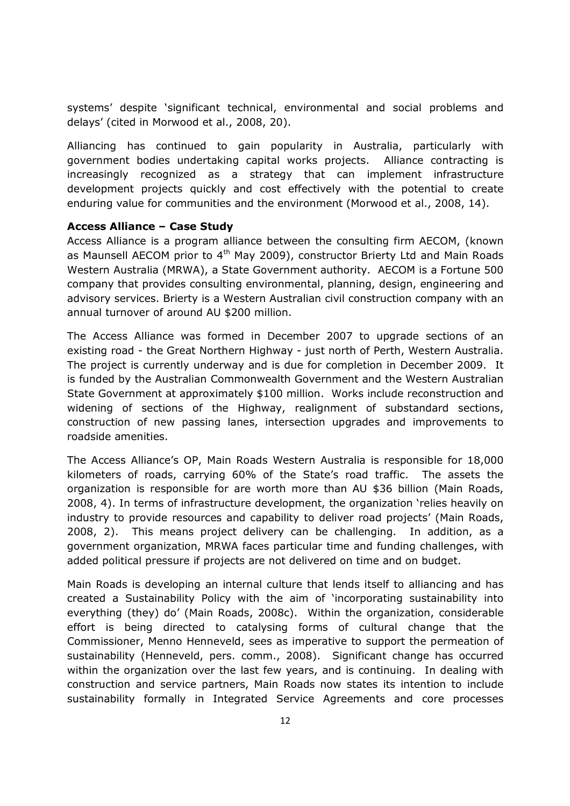systems' despite 'significant technical, environmental and social problems and delays' (cited in Morwood et al., 2008, 20).

Alliancing has continued to gain popularity in Australia, particularly with government bodies undertaking capital works projects. Alliance contracting is increasingly recognized as a strategy that can implement infrastructure development projects quickly and cost effectively with the potential to create enduring value for communities and the environment (Morwood et al., 2008, 14).

### Access Alliance – Case Study

Access Alliance is a program alliance between the consulting firm AECOM, (known as Maunsell AECOM prior to  $4<sup>th</sup>$  May 2009), constructor Brierty Ltd and Main Roads Western Australia (MRWA), a State Government authority. AECOM is a Fortune 500 company that provides consulting environmental, planning, design, engineering and advisory services. Brierty is a Western Australian civil construction company with an annual turnover of around AU \$200 million.

The Access Alliance was formed in December 2007 to upgrade sections of an existing road - the Great Northern Highway - just north of Perth, Western Australia. The project is currently underway and is due for completion in December 2009. It is funded by the Australian Commonwealth Government and the Western Australian State Government at approximately \$100 million. Works include reconstruction and widening of sections of the Highway, realignment of substandard sections, construction of new passing lanes, intersection upgrades and improvements to roadside amenities.

The Access Alliance's OP, Main Roads Western Australia is responsible for 18,000 kilometers of roads, carrying 60% of the State's road traffic. The assets the organization is responsible for are worth more than AU \$36 billion (Main Roads, 2008, 4). In terms of infrastructure development, the organization 'relies heavily on industry to provide resources and capability to deliver road projects' (Main Roads, 2008, 2). This means project delivery can be challenging. In addition, as a government organization, MRWA faces particular time and funding challenges, with added political pressure if projects are not delivered on time and on budget.

Main Roads is developing an internal culture that lends itself to alliancing and has created a Sustainability Policy with the aim of 'incorporating sustainability into everything (they) do' (Main Roads, 2008c). Within the organization, considerable effort is being directed to catalysing forms of cultural change that the Commissioner, Menno Henneveld, sees as imperative to support the permeation of sustainability (Henneveld, pers. comm., 2008). Significant change has occurred within the organization over the last few years, and is continuing. In dealing with construction and service partners, Main Roads now states its intention to include sustainability formally in Integrated Service Agreements and core processes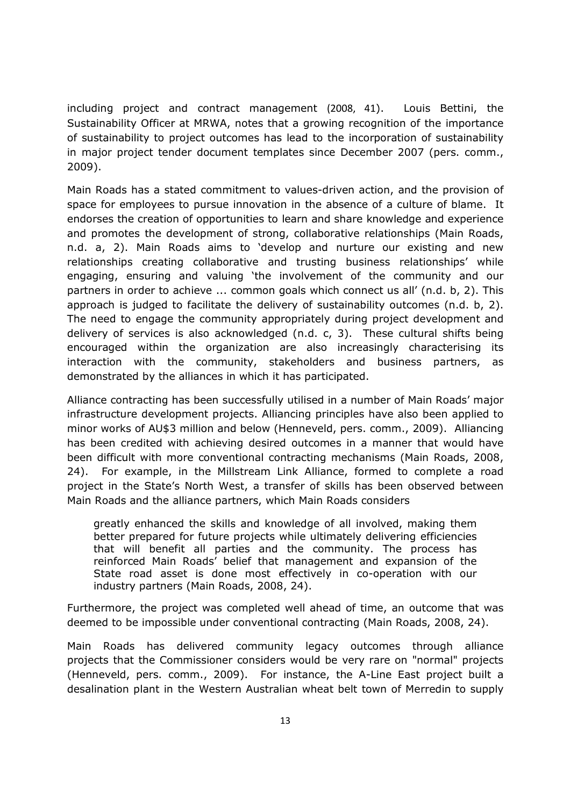including project and contract management (2008, 41). Louis Bettini, the Sustainability Officer at MRWA, notes that a growing recognition of the importance of sustainability to project outcomes has lead to the incorporation of sustainability in major project tender document templates since December 2007 (pers. comm., 2009).

Main Roads has a stated commitment to values-driven action, and the provision of space for employees to pursue innovation in the absence of a culture of blame. It endorses the creation of opportunities to learn and share knowledge and experience and promotes the development of strong, collaborative relationships (Main Roads, n.d. a, 2). Main Roads aims to 'develop and nurture our existing and new relationships creating collaborative and trusting business relationships' while engaging, ensuring and valuing 'the involvement of the community and our partners in order to achieve ... common goals which connect us all' (n.d. b, 2). This approach is judged to facilitate the delivery of sustainability outcomes (n.d. b, 2). The need to engage the community appropriately during project development and delivery of services is also acknowledged (n.d. c, 3). These cultural shifts being encouraged within the organization are also increasingly characterising its interaction with the community, stakeholders and business partners, as demonstrated by the alliances in which it has participated.

Alliance contracting has been successfully utilised in a number of Main Roads' major infrastructure development projects. Alliancing principles have also been applied to minor works of AU\$3 million and below (Henneveld, pers. comm., 2009). Alliancing has been credited with achieving desired outcomes in a manner that would have been difficult with more conventional contracting mechanisms (Main Roads, 2008, 24). For example, in the Millstream Link Alliance, formed to complete a road project in the State's North West, a transfer of skills has been observed between Main Roads and the alliance partners, which Main Roads considers

greatly enhanced the skills and knowledge of all involved, making them better prepared for future projects while ultimately delivering efficiencies that will benefit all parties and the community. The process has reinforced Main Roads' belief that management and expansion of the State road asset is done most effectively in co-operation with our industry partners (Main Roads, 2008, 24).

Furthermore, the project was completed well ahead of time, an outcome that was deemed to be impossible under conventional contracting (Main Roads, 2008, 24).

Main Roads has delivered community legacy outcomes through alliance projects that the Commissioner considers would be very rare on "normal" projects (Henneveld, pers. comm., 2009). For instance, the A-Line East project built a desalination plant in the Western Australian wheat belt town of Merredin to supply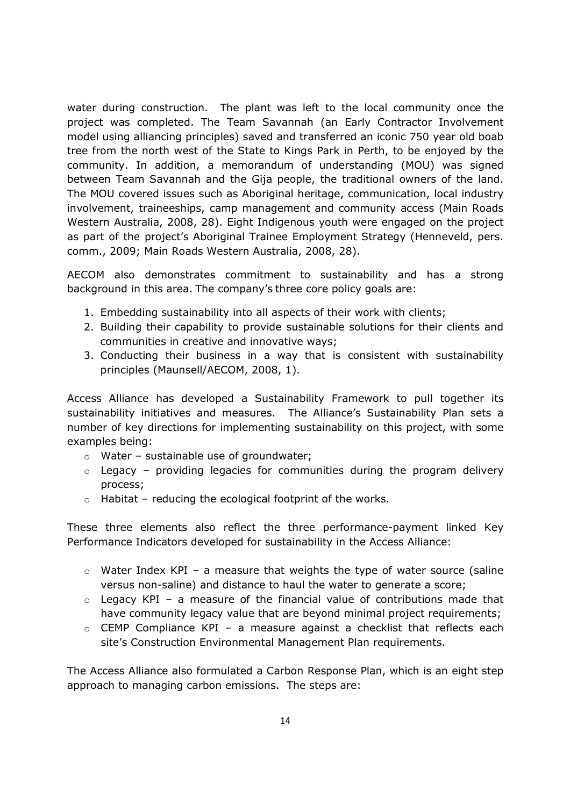water during construction. The plant was left to the local community once the project was completed. The Team Savannah (an Early Contractor Involvement model using alliancing principles) saved and transferred an iconic 750 year old boab tree from the north west of the State to Kings Park in Perth, to be enjoyed by the community. In addition, a memorandum of understanding (MOU) was signed between Team Savannah and the Gija people, the traditional owners of the land. The MOU covered issues such as Aboriginal heritage, communication, local industry involvement, traineeships, camp management and community access (Main Roads Western Australia, 2008, 28). Eight Indigenous youth were engaged on the project as part of the project's Aboriginal Trainee Employment Strategy (Henneveld, pers. comm., 2009; Main Roads Western Australia, 2008, 28).

AECOM also demonstrates commitment to sustainability and has a strong background in this area. The company's three core policy goals are:

- 1. Embedding sustainability into all aspects of their work with clients;
- 2. Building their capability to provide sustainable solutions for their clients and communities in creative and innovative ways;
- 3. Conducting their business in a way that is consistent with sustainability principles (Maunsell/AECOM, 2008, 1).

Access Alliance has developed a Sustainability Framework to pull together its sustainability initiatives and measures. The Alliance's Sustainability Plan sets a number of key directions for implementing sustainability on this project, with some examples being:

- $\circ$  Water sustainable use of groundwater;
- $\circ$  Legacy providing legacies for communities during the program delivery process;
- $\circ$  Habitat reducing the ecological footprint of the works.

These three elements also reflect the three performance-payment linked Key Performance Indicators developed for sustainability in the Access Alliance:

- $\circ$  Water Index KPI a measure that weights the type of water source (saline versus non-saline) and distance to haul the water to generate a score;
- $\circ$  Legacy KPI a measure of the financial value of contributions made that have community legacy value that are beyond minimal project requirements;
- o CEMP Compliance KPI a measure against a checklist that reflects each site's Construction Environmental Management Plan requirements.

The Access Alliance also formulated a Carbon Response Plan, which is an eight step approach to managing carbon emissions. The steps are: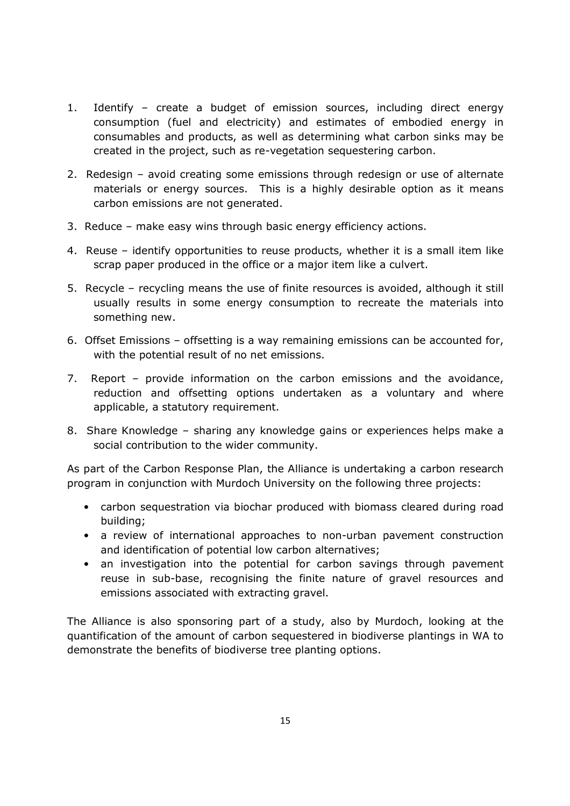- 1. Identify create a budget of emission sources, including direct energy consumption (fuel and electricity) and estimates of embodied energy in consumables and products, as well as determining what carbon sinks may be created in the project, such as re-vegetation sequestering carbon.
- 2. Redesign avoid creating some emissions through redesign or use of alternate materials or energy sources. This is a highly desirable option as it means carbon emissions are not generated.
- 3. Reduce make easy wins through basic energy efficiency actions.
- 4. Reuse identify opportunities to reuse products, whether it is a small item like scrap paper produced in the office or a major item like a culvert.
- 5. Recycle recycling means the use of finite resources is avoided, although it still usually results in some energy consumption to recreate the materials into something new.
- 6. Offset Emissions offsetting is a way remaining emissions can be accounted for, with the potential result of no net emissions.
- 7. Report provide information on the carbon emissions and the avoidance, reduction and offsetting options undertaken as a voluntary and where applicable, a statutory requirement.
- 8. Share Knowledge sharing any knowledge gains or experiences helps make a social contribution to the wider community.

As part of the Carbon Response Plan, the Alliance is undertaking a carbon research program in conjunction with Murdoch University on the following three projects:

- carbon sequestration via biochar produced with biomass cleared during road building;
- a review of international approaches to non-urban pavement construction and identification of potential low carbon alternatives;
- an investigation into the potential for carbon savings through pavement reuse in sub-base, recognising the finite nature of gravel resources and emissions associated with extracting gravel.

The Alliance is also sponsoring part of a study, also by Murdoch, looking at the quantification of the amount of carbon sequestered in biodiverse plantings in WA to demonstrate the benefits of biodiverse tree planting options.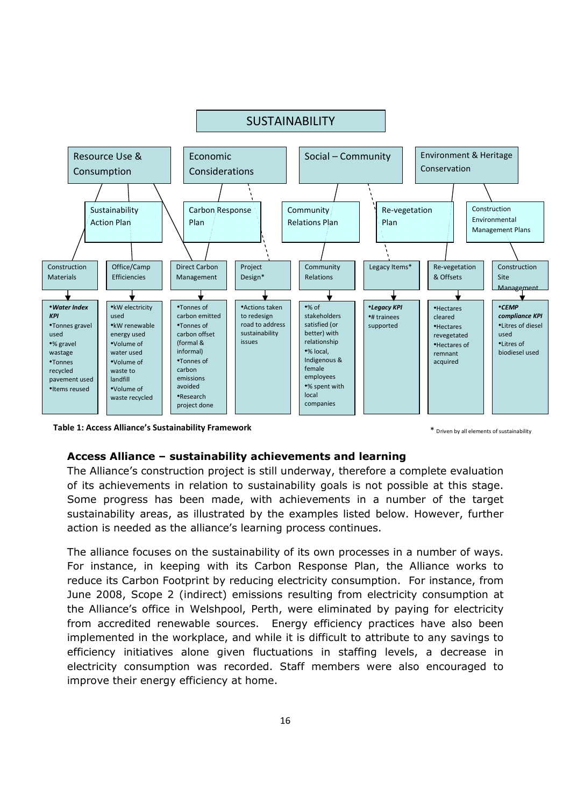

Table 1: Access Alliance's Sustainability Framework **Table 1: Access Alliance's Sustainability Framework** 

#### Access Alliance – sustainability achievements and learning

The Alliance's construction project is still underway, therefore a complete evaluation of its achievements in relation to sustainability goals is not possible at this stage. Some progress has been made, with achievements in a number of the target sustainability areas, as illustrated by the examples listed below. However, further action is needed as the alliance's learning process continues.

The alliance focuses on the sustainability of its own processes in a number of ways. For instance, in keeping with its Carbon Response Plan, the Alliance works to reduce its Carbon Footprint by reducing electricity consumption. For instance, from June 2008, Scope 2 (indirect) emissions resulting from electricity consumption at the Alliance's office in Welshpool, Perth, were eliminated by paying for electricity from accredited renewable sources. Energy efficiency practices have also been implemented in the workplace, and while it is difficult to attribute to any savings to efficiency initiatives alone given fluctuations in staffing levels, a decrease in electricity consumption was recorded. Staff members were also encouraged to improve their energy efficiency at home.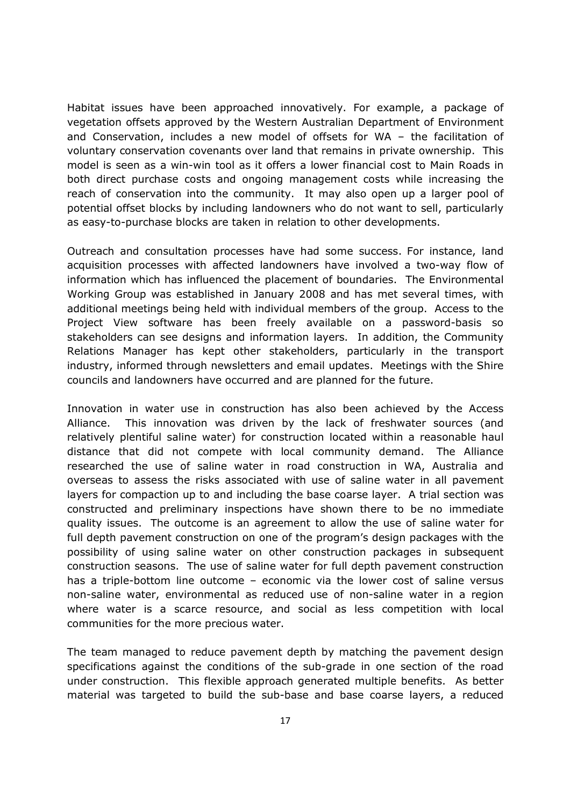Habitat issues have been approached innovatively. For example, a package of vegetation offsets approved by the Western Australian Department of Environment and Conservation, includes a new model of offsets for WA – the facilitation of voluntary conservation covenants over land that remains in private ownership. This model is seen as a win-win tool as it offers a lower financial cost to Main Roads in both direct purchase costs and ongoing management costs while increasing the reach of conservation into the community. It may also open up a larger pool of potential offset blocks by including landowners who do not want to sell, particularly as easy-to-purchase blocks are taken in relation to other developments.

Outreach and consultation processes have had some success. For instance, land acquisition processes with affected landowners have involved a two-way flow of information which has influenced the placement of boundaries. The Environmental Working Group was established in January 2008 and has met several times, with additional meetings being held with individual members of the group. Access to the Project View software has been freely available on a password-basis so stakeholders can see designs and information layers. In addition, the Community Relations Manager has kept other stakeholders, particularly in the transport industry, informed through newsletters and email updates. Meetings with the Shire councils and landowners have occurred and are planned for the future.

Innovation in water use in construction has also been achieved by the Access Alliance. This innovation was driven by the lack of freshwater sources (and relatively plentiful saline water) for construction located within a reasonable haul distance that did not compete with local community demand. The Alliance researched the use of saline water in road construction in WA, Australia and overseas to assess the risks associated with use of saline water in all pavement layers for compaction up to and including the base coarse layer. A trial section was constructed and preliminary inspections have shown there to be no immediate quality issues. The outcome is an agreement to allow the use of saline water for full depth pavement construction on one of the program's design packages with the possibility of using saline water on other construction packages in subsequent construction seasons. The use of saline water for full depth pavement construction has a triple-bottom line outcome – economic via the lower cost of saline versus non-saline water, environmental as reduced use of non-saline water in a region where water is a scarce resource, and social as less competition with local communities for the more precious water.

The team managed to reduce pavement depth by matching the pavement design specifications against the conditions of the sub-grade in one section of the road under construction. This flexible approach generated multiple benefits. As better material was targeted to build the sub-base and base coarse layers, a reduced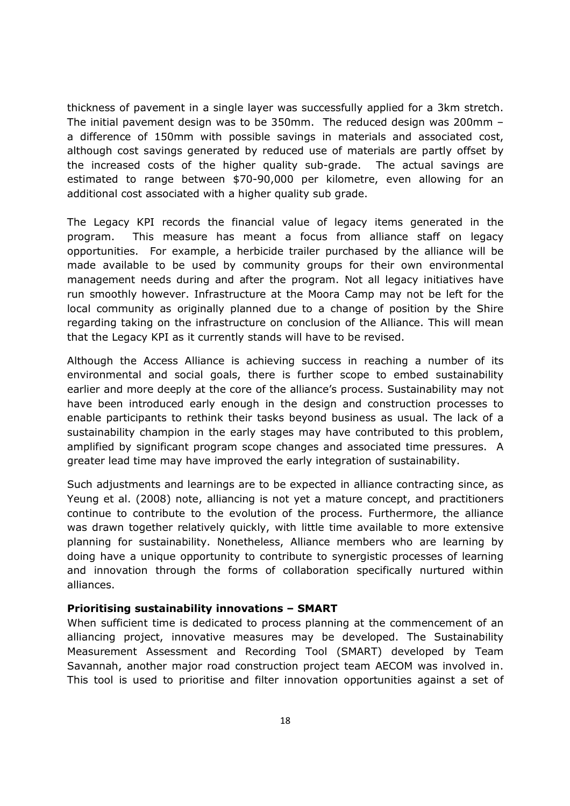thickness of pavement in a single layer was successfully applied for a 3km stretch. The initial pavement design was to be 350mm. The reduced design was 200mm – a difference of 150mm with possible savings in materials and associated cost, although cost savings generated by reduced use of materials are partly offset by the increased costs of the higher quality sub-grade. The actual savings are estimated to range between \$70-90,000 per kilometre, even allowing for an additional cost associated with a higher quality sub grade.

The Legacy KPI records the financial value of legacy items generated in the program. This measure has meant a focus from alliance staff on legacy opportunities. For example, a herbicide trailer purchased by the alliance will be made available to be used by community groups for their own environmental management needs during and after the program. Not all legacy initiatives have run smoothly however. Infrastructure at the Moora Camp may not be left for the local community as originally planned due to a change of position by the Shire regarding taking on the infrastructure on conclusion of the Alliance. This will mean that the Legacy KPI as it currently stands will have to be revised.

Although the Access Alliance is achieving success in reaching a number of its environmental and social goals, there is further scope to embed sustainability earlier and more deeply at the core of the alliance's process. Sustainability may not have been introduced early enough in the design and construction processes to enable participants to rethink their tasks beyond business as usual. The lack of a sustainability champion in the early stages may have contributed to this problem, amplified by significant program scope changes and associated time pressures. A greater lead time may have improved the early integration of sustainability.

Such adjustments and learnings are to be expected in alliance contracting since, as Yeung et al. (2008) note, alliancing is not yet a mature concept, and practitioners continue to contribute to the evolution of the process. Furthermore, the alliance was drawn together relatively quickly, with little time available to more extensive planning for sustainability. Nonetheless, Alliance members who are learning by doing have a unique opportunity to contribute to synergistic processes of learning and innovation through the forms of collaboration specifically nurtured within alliances.

## Prioritising sustainability innovations – SMART

When sufficient time is dedicated to process planning at the commencement of an alliancing project, innovative measures may be developed. The Sustainability Measurement Assessment and Recording Tool (SMART) developed by Team Savannah, another major road construction project team AECOM was involved in. This tool is used to prioritise and filter innovation opportunities against a set of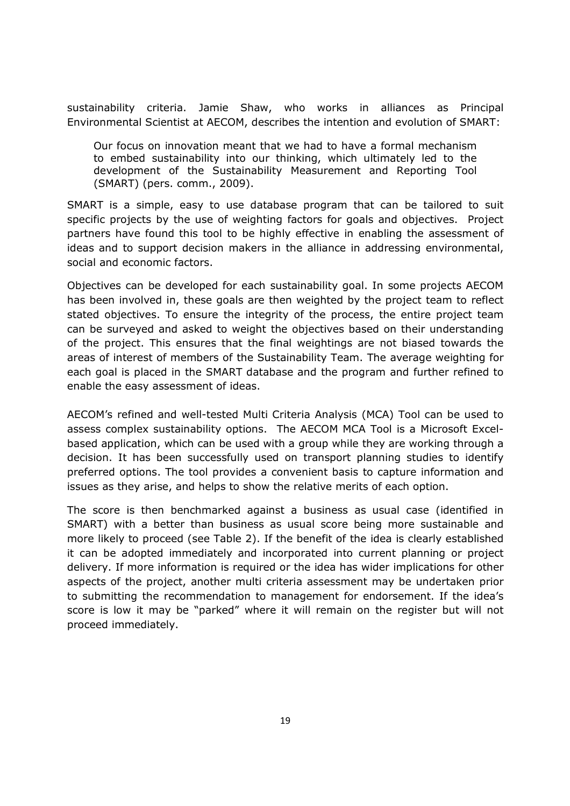sustainability criteria. Jamie Shaw, who works in alliances as Principal Environmental Scientist at AECOM, describes the intention and evolution of SMART:

Our focus on innovation meant that we had to have a formal mechanism to embed sustainability into our thinking, which ultimately led to the development of the Sustainability Measurement and Reporting Tool (SMART) (pers. comm., 2009).

SMART is a simple, easy to use database program that can be tailored to suit specific projects by the use of weighting factors for goals and objectives. Project partners have found this tool to be highly effective in enabling the assessment of ideas and to support decision makers in the alliance in addressing environmental, social and economic factors.

Objectives can be developed for each sustainability goal. In some projects AECOM has been involved in, these goals are then weighted by the project team to reflect stated objectives. To ensure the integrity of the process, the entire project team can be surveyed and asked to weight the objectives based on their understanding of the project. This ensures that the final weightings are not biased towards the areas of interest of members of the Sustainability Team. The average weighting for each goal is placed in the SMART database and the program and further refined to enable the easy assessment of ideas.

AECOM's refined and well-tested Multi Criteria Analysis (MCA) Tool can be used to assess complex sustainability options. The AECOM MCA Tool is a Microsoft Excelbased application, which can be used with a group while they are working through a decision. It has been successfully used on transport planning studies to identify preferred options. The tool provides a convenient basis to capture information and issues as they arise, and helps to show the relative merits of each option.

The score is then benchmarked against a business as usual case (identified in SMART) with a better than business as usual score being more sustainable and more likely to proceed (see Table 2). If the benefit of the idea is clearly established it can be adopted immediately and incorporated into current planning or project delivery. If more information is required or the idea has wider implications for other aspects of the project, another multi criteria assessment may be undertaken prior to submitting the recommendation to management for endorsement. If the idea's score is low it may be "parked" where it will remain on the register but will not proceed immediately.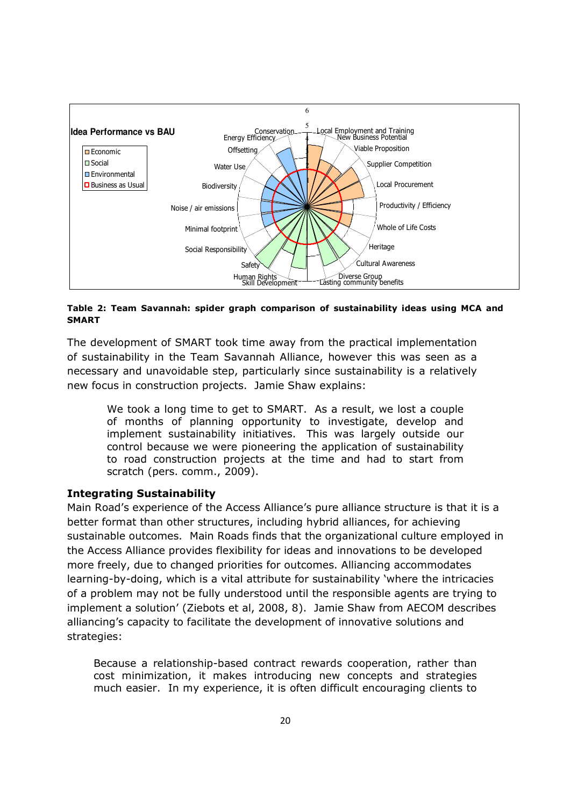

### Table 2: Team Savannah: spider graph comparison of sustainability ideas using MCA and SMART

The development of SMART took time away from the practical implementation of sustainability in the Team Savannah Alliance, however this was seen as a necessary and unavoidable step, particularly since sustainability is a relatively new focus in construction projects. Jamie Shaw explains:

We took a long time to get to SMART. As a result, we lost a couple of months of planning opportunity to investigate, develop and implement sustainability initiatives. This was largely outside our control because we were pioneering the application of sustainability to road construction projects at the time and had to start from scratch (pers. comm., 2009).

## Integrating Sustainability

Main Road's experience of the Access Alliance's pure alliance structure is that it is a better format than other structures, including hybrid alliances, for achieving sustainable outcomes. Main Roads finds that the organizational culture employed in the Access Alliance provides flexibility for ideas and innovations to be developed more freely, due to changed priorities for outcomes. Alliancing accommodates learning-by-doing, which is a vital attribute for sustainability 'where the intricacies of a problem may not be fully understood until the responsible agents are trying to implement a solution' (Ziebots et al, 2008, 8). Jamie Shaw from AECOM describes alliancing's capacity to facilitate the development of innovative solutions and strategies:

Because a relationship-based contract rewards cooperation, rather than cost minimization, it makes introducing new concepts and strategies much easier. In my experience, it is often difficult encouraging clients to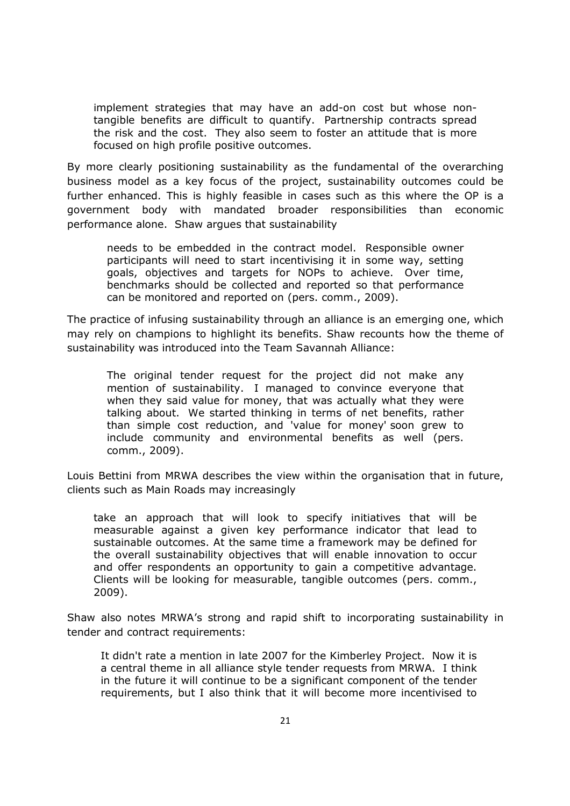implement strategies that may have an add-on cost but whose nontangible benefits are difficult to quantify. Partnership contracts spread the risk and the cost. They also seem to foster an attitude that is more focused on high profile positive outcomes.

By more clearly positioning sustainability as the fundamental of the overarching business model as a key focus of the project, sustainability outcomes could be further enhanced. This is highly feasible in cases such as this where the OP is a government body with mandated broader responsibilities than economic performance alone. Shaw argues that sustainability

needs to be embedded in the contract model. Responsible owner participants will need to start incentivising it in some way, setting goals, objectives and targets for NOPs to achieve. Over time, benchmarks should be collected and reported so that performance can be monitored and reported on (pers. comm., 2009).

The practice of infusing sustainability through an alliance is an emerging one, which may rely on champions to highlight its benefits. Shaw recounts how the theme of sustainability was introduced into the Team Savannah Alliance:

The original tender request for the project did not make any mention of sustainability. I managed to convince everyone that when they said value for money, that was actually what they were talking about. We started thinking in terms of net benefits, rather than simple cost reduction, and 'value for money' soon grew to include community and environmental benefits as well (pers. comm., 2009).

Louis Bettini from MRWA describes the view within the organisation that in future, clients such as Main Roads may increasingly

take an approach that will look to specify initiatives that will be measurable against a given key performance indicator that lead to sustainable outcomes. At the same time a framework may be defined for the overall sustainability objectives that will enable innovation to occur and offer respondents an opportunity to gain a competitive advantage. Clients will be looking for measurable, tangible outcomes (pers. comm., 2009).

Shaw also notes MRWA's strong and rapid shift to incorporating sustainability in tender and contract requirements:

It didn't rate a mention in late 2007 for the Kimberley Project. Now it is a central theme in all alliance style tender requests from MRWA. I think in the future it will continue to be a significant component of the tender requirements, but I also think that it will become more incentivised to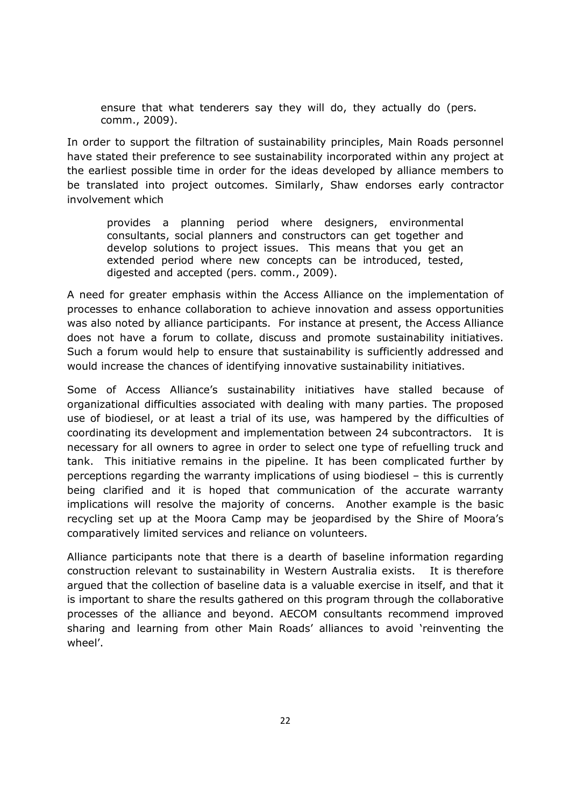ensure that what tenderers say they will do, they actually do (pers. comm., 2009).

In order to support the filtration of sustainability principles, Main Roads personnel have stated their preference to see sustainability incorporated within any project at the earliest possible time in order for the ideas developed by alliance members to be translated into project outcomes. Similarly, Shaw endorses early contractor involvement which

provides a planning period where designers, environmental consultants, social planners and constructors can get together and develop solutions to project issues. This means that you get an extended period where new concepts can be introduced, tested, digested and accepted (pers. comm., 2009).

A need for greater emphasis within the Access Alliance on the implementation of processes to enhance collaboration to achieve innovation and assess opportunities was also noted by alliance participants. For instance at present, the Access Alliance does not have a forum to collate, discuss and promote sustainability initiatives. Such a forum would help to ensure that sustainability is sufficiently addressed and would increase the chances of identifying innovative sustainability initiatives.

Some of Access Alliance's sustainability initiatives have stalled because of organizational difficulties associated with dealing with many parties. The proposed use of biodiesel, or at least a trial of its use, was hampered by the difficulties of coordinating its development and implementation between 24 subcontractors. It is necessary for all owners to agree in order to select one type of refuelling truck and tank. This initiative remains in the pipeline. It has been complicated further by perceptions regarding the warranty implications of using biodiesel – this is currently being clarified and it is hoped that communication of the accurate warranty implications will resolve the majority of concerns. Another example is the basic recycling set up at the Moora Camp may be jeopardised by the Shire of Moora's comparatively limited services and reliance on volunteers.

Alliance participants note that there is a dearth of baseline information regarding construction relevant to sustainability in Western Australia exists. It is therefore argued that the collection of baseline data is a valuable exercise in itself, and that it is important to share the results gathered on this program through the collaborative processes of the alliance and beyond. AECOM consultants recommend improved sharing and learning from other Main Roads' alliances to avoid 'reinventing the wheel'.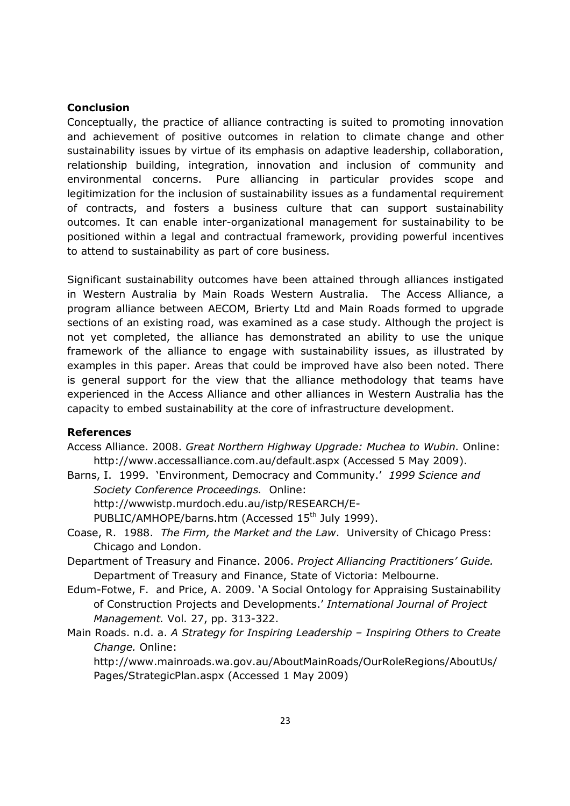### Conclusion

Conceptually, the practice of alliance contracting is suited to promoting innovation and achievement of positive outcomes in relation to climate change and other sustainability issues by virtue of its emphasis on adaptive leadership, collaboration, relationship building, integration, innovation and inclusion of community and environmental concerns. Pure alliancing in particular provides scope and legitimization for the inclusion of sustainability issues as a fundamental requirement of contracts, and fosters a business culture that can support sustainability outcomes. It can enable inter-organizational management for sustainability to be positioned within a legal and contractual framework, providing powerful incentives to attend to sustainability as part of core business.

Significant sustainability outcomes have been attained through alliances instigated in Western Australia by Main Roads Western Australia. The Access Alliance, a program alliance between AECOM, Brierty Ltd and Main Roads formed to upgrade sections of an existing road, was examined as a case study. Although the project is not yet completed, the alliance has demonstrated an ability to use the unique framework of the alliance to engage with sustainability issues, as illustrated by examples in this paper. Areas that could be improved have also been noted. There is general support for the view that the alliance methodology that teams have experienced in the Access Alliance and other alliances in Western Australia has the capacity to embed sustainability at the core of infrastructure development.

#### References

- Access Alliance. 2008. Great Northern Highway Upgrade: Muchea to Wubin. Online: http://www.accessalliance.com.au/default.aspx (Accessed 5 May 2009).
- Barns, I. 1999. 'Environment, Democracy and Community.' 1999 Science and Society Conference Proceedings. Online: http://wwwistp.murdoch.edu.au/istp/RESEARCH/E-

PUBLIC/AMHOPE/barns.htm (Accessed 15<sup>th</sup> July 1999).

- Coase, R. 1988. The Firm, the Market and the Law. University of Chicago Press: Chicago and London.
- Department of Treasury and Finance. 2006. Project Alliancing Practitioners' Guide. Department of Treasury and Finance, State of Victoria: Melbourne.
- Edum-Fotwe, F. and Price, A. 2009. 'A Social Ontology for Appraising Sustainability of Construction Projects and Developments.' International Journal of Project Management. Vol. 27, pp. 313-322.
- Main Roads. n.d. a. A Strategy for Inspiring Leadership Inspiring Others to Create Change. Online:

http://www.mainroads.wa.gov.au/AboutMainRoads/OurRoleRegions/AboutUs/ Pages/StrategicPlan.aspx (Accessed 1 May 2009)